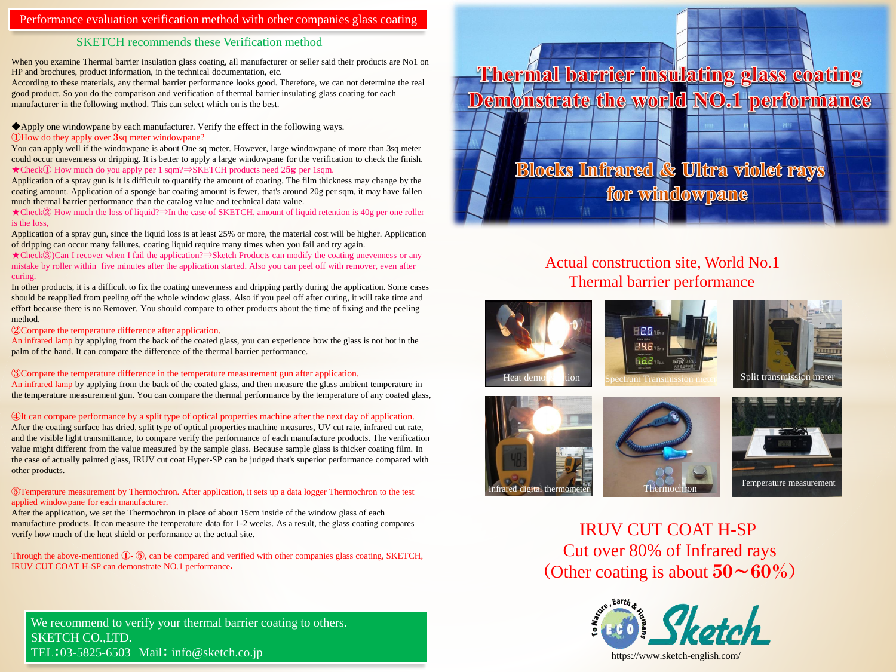## Performance evaluation verification method with other companies glass coating

## SKETCH recommends these Verification method

When you examine Thermal barrier insulation glass coating, all manufacturer or seller said their products are No1 on HP and brochures, product information, in the technical documentation, etc.

According to these materials, any thermal barrier performance looks good. Therefore, we can not determine the real good product. So you do the comparison and verification of thermal barrier insulating glass coating for each manufacturer in the following method. This can select which on is the best.

◆Apply one windowpane by each manufacturer. Verify the effect in the following ways.

### ①How do they apply over 3sq meter windowpane?

You can apply well if the windowpane is about One sq meter. However, large windowpane of more than 3sq meter could occur unevenness or dripping. It is better to apply a large windowpane for the verification to check the finish. ★Check① How much do you apply per 1 sqm?⇒SKETCH products need 25g per 1sqm.

Application of a spray gun is it is difficult to quantify the amount of coating. The film thickness may change by the coating amount. Application of a sponge bar coating amount is fewer, that's around 20g per sqm, it may have fallen much thermal barrier performance than the catalog value and technical data value.

★Check② How much the loss of liquid?⇒In the case of SKETCH, amount of liquid retention is 40g per one roller is the loss,

Application of a spray gun, since the liquid loss is at least 25% or more, the material cost will be higher. Application of dripping can occur many failures, coating liquid require many times when you fail and try again.

★Check③)Can I recover when I fail the application?⇒Sketch Products can modify the coating unevenness or any mistake by roller within five minutes after the application started. Also you can peel off with remover, even after curing.

In other products, it is a difficult to fix the coating unevenness and dripping partly during the application. Some cases should be reapplied from peeling off the whole window glass. Also if you peel off after curing, it will take time and effort because there is no Remover. You should compare to other products about the time of fixing and the peeling method.

#### ②Compare the temperature difference after application.

An infrared lamp by applying from the back of the coated glass, you can experience how the glass is not hot in the palm of the hand. It can compare the difference of the thermal barrier performance.

③Compare the temperature difference in the temperature measurement gun after application.

An infrared lamp by applying from the back of the coated glass, and then measure the glass ambient temperature in the temperature measurement gun. You can compare the thermal performance by the temperature of any coated glass,

④It can compare performance by a split type of optical properties machine after the next day of application.

After the coating surface has dried, split type of optical properties machine measures, UV cut rate, infrared cut rate, and the visible light transmittance, to compare verify the performance of each manufacture products. The verification value might different from the value measured by the sample glass. Because sample glass is thicker coating film. In the case of actually painted glass, IRUV cut coat Hyper-SP can be judged that's superior performance compared with other products.

#### ⑤Temperature measurement by Thermochron. After application, it sets up a data logger Thermochron to the test applied windowpane for each manufacturer.

After the application, we set the Thermochron in place of about 15cm inside of the window glass of each manufacture products. It can measure the temperature data for 1-2 weeks. As a result, the glass coating compares verify how much of the heat shield or performance at the actual site.

Through the above-mentioned ①- ⑤, can be compared and verified with other companies glass coating, SKETCH, IRUV CUT COAT H-SP can demonstrate NO.1 performance.

We recommend to verify your thermal barrier coating to others. SKETCH CO.,LTD. TEL:03-5825-6503 Mail: info@sketch.co.jp

Thermal barrier insulating glass coating Demonstrate the world NO.1 performance

**Blocks Infrared & Ultra violet rays** for windowpane

# Actual construction site, World No.1 Thermal barrier performance













IRUV CUT COAT H-SP Cut over 80% of Infrared rays (Other coating is about  $50~\sim~60\%$ )